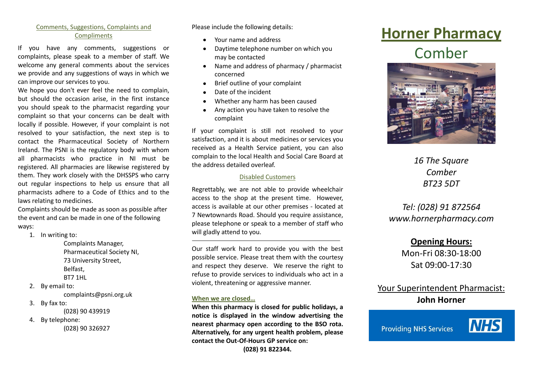#### Comments, Suggestions, Complaints and **Compliments**

If you have any comments, suggestions or complaints, please speak to a member of staff. We welcome any general comments about the services we provide and any suggestions of ways in which we can improve our services to you.

We hope you don't ever feel the need to complain, but should the occasion arise, in the first instance you should speak to the pharmacist regarding your complaint so that your concerns can be dealt with locally if possible. However, if your complaint is not resolved to your satisfaction, the next step is to contact the Pharmaceutical Society of Northern Ireland. The PSNI is the regulatory body with whom all pharmacists who practice in NI must be registered. All pharmacies are likewise registered by them. They work closely with the DHSSPS who carry out regular inspections to help us ensure that all pharmacists adhere to a Code of Ethics and to the laws relating to medicines.

Complaints should be made as soon as possible after the event and can be made in one of the following ways:

1. In writing to:

Complaints Manager, Pharmaceutical Society NI, 73 University Street, Belfast, BT7 1HL

2. By email to:

complaints@psni.org.uk

3. By fax to:

(028) 90 439919

4. By telephone: (028) 90 326927 Please include the following details:

- Your name and address  $\bullet$
- Daytime telephone number on which you  $\bullet$ may be contacted
- Name and address of pharmacy / pharmacist  $\bullet$ concerned
- Brief outline of your complaint  $\bullet$
- Date of the incident
- Whether any harm has been caused
- Any action you have taken to resolve the  $\bullet$ complaint

If your complaint is still not resolved to your satisfaction, and it is about medicines or services you received as a Health Service patient, you can also complain to the local Health and Social Care Board at the address detailed overleaf.

#### Disabled Customers

Regrettably, we are not able to provide wheelchair access to the shop at the present time. However, access is available at our other premises - located at 7 Newtownards Road. Should you require assistance, please telephone or speak to a member of staff who will gladly attend to you.

Our staff work hard to provide you with the best possible service. Please treat them with the courtesy and respect they deserve. We reserve the right to refuse to provide services to individuals who act in a violent, threatening or aggressive manner.

#### **When we are closed…**

**When this pharmacy is closed for public holidays, a notice is displayed in the window advertising the nearest pharmacy open according to the BSO rota. Alternatively, for any urgent health problem, please contact the Out-Of-Hours GP service on:**

**(028) 91 822344.**

# **Horner Pharmacy**

## Comber



*16 The Square Comber BT23 5DT*

### *Tel: (028) 91 872564 www.hornerpharmacy.com*

**Opening Hours:** Mon-Fri 08:30-18:00 Sat 09:00-17:30

Your Superintendent Pharmacist: **John Horner**

**Providing NHS Services**